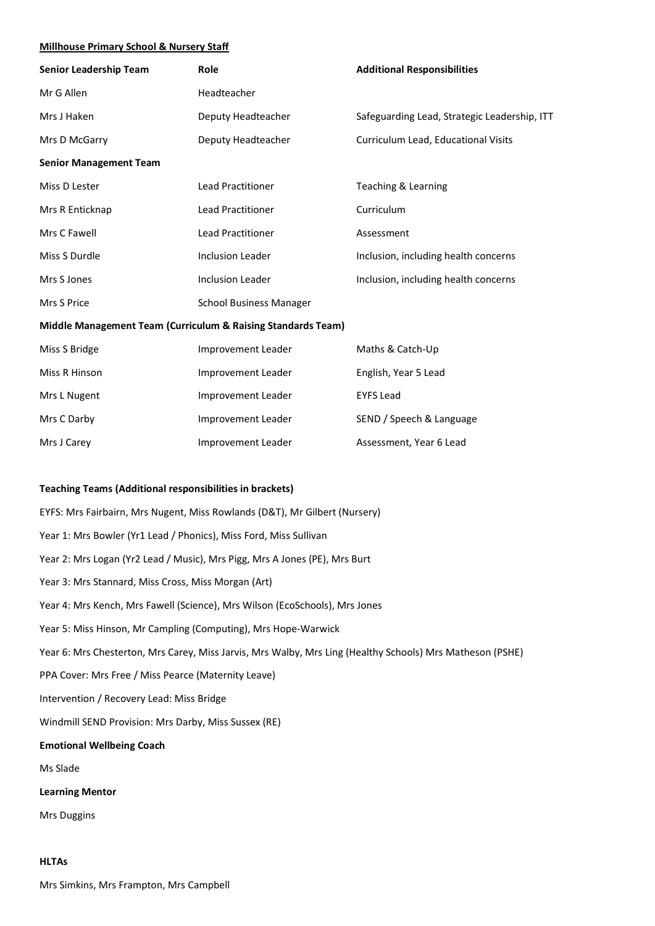#### **Millhouse Primary School & Nursery Staff**

| Senior Leadership Team                                       | Role                           | <b>Additional Responsibilities</b>           |  |  |
|--------------------------------------------------------------|--------------------------------|----------------------------------------------|--|--|
| Mr G Allen                                                   | Headteacher                    |                                              |  |  |
| Mrs J Haken                                                  | Deputy Headteacher             | Safeguarding Lead, Strategic Leadership, ITT |  |  |
| Mrs D McGarry                                                | Deputy Headteacher             | Curriculum Lead, Educational Visits          |  |  |
| <b>Senior Management Team</b>                                |                                |                                              |  |  |
| Miss D Lester                                                | <b>Lead Practitioner</b>       | Teaching & Learning                          |  |  |
| Mrs R Enticknap                                              | <b>Lead Practitioner</b>       | Curriculum                                   |  |  |
| Mrs C Fawell                                                 | <b>Lead Practitioner</b>       | Assessment                                   |  |  |
| Miss S Durdle                                                | <b>Inclusion Leader</b>        | Inclusion, including health concerns         |  |  |
| Mrs S Jones                                                  | <b>Inclusion Leader</b>        | Inclusion, including health concerns         |  |  |
| Mrs S Price                                                  | <b>School Business Manager</b> |                                              |  |  |
| Middle Management Team (Curriculum & Raising Standards Team) |                                |                                              |  |  |
| Miss S Bridge                                                | Improvement Leader             | Maths & Catch-Up                             |  |  |
| Miss R Hinson                                                | Improvement Leader             | English, Year 5 Lead                         |  |  |
| Mrs L Nugent                                                 | Improvement Leader             | <b>EYFS Lead</b>                             |  |  |
| Mrs C Darby                                                  | Improvement Leader             | SEND / Speech & Language                     |  |  |

### **Teaching Teams (Additional responsibilities in brackets)**

EYFS: Mrs Fairbairn, Mrs Nugent, Miss Rowlands (D&T), Mr Gilbert (Nursery) Year 1: Mrs Bowler (Yr1 Lead / Phonics), Miss Ford, Miss Sullivan Year 2: Mrs Logan (Yr2 Lead / Music), Mrs Pigg, Mrs A Jones (PE), Mrs Burt Year 3: Mrs Stannard, Miss Cross, Miss Morgan (Art) Year 4: Mrs Kench, Mrs Fawell (Science), Mrs Wilson (EcoSchools), Mrs Jones Year 5: Miss Hinson, Mr Campling (Computing), Mrs Hope-Warwick Year 6: Mrs Chesterton, Mrs Carey, Miss Jarvis, Mrs Walby, Mrs Ling (Healthy Schools) Mrs Matheson (PSHE) PPA Cover: Mrs Free / Miss Pearce (Maternity Leave) Intervention / Recovery Lead: Miss Bridge Windmill SEND Provision: Mrs Darby, Miss Sussex (RE) **Emotional Wellbeing Coach** Ms Slade **Learning Mentor**

Mrs J Carey **Improvement Leader** Assessment, Year 6 Lead Assessment, Year 6 Lead

Mrs Duggins

#### **HLTAs**

Mrs Simkins, Mrs Frampton, Mrs Campbell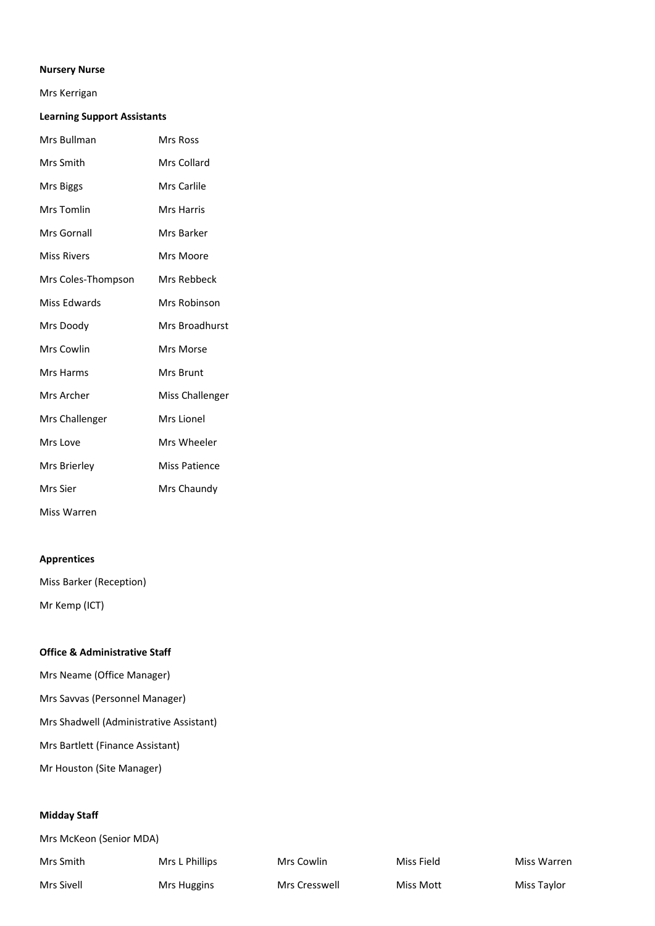## **Nursery Nurse**

### Mrs Kerrigan

## **Learning Support Assistants**

| Mrs Bullman        | Mrs Ross          |
|--------------------|-------------------|
| Mrs Smith          | Mrs Collard       |
| Mrs Biggs          | Mrs Carlile       |
| Mrs Tomlin         | <b>Mrs Harris</b> |
| Mrs Gornall        | Mrs Barker        |
| <b>Miss Rivers</b> | Mrs Moore         |
| Mrs Coles-Thompson | Mrs Rebbeck       |
| Miss Edwards       | Mrs Robinson      |
| Mrs Doody          | Mrs Broadhurst    |
| Mrs Cowlin         | Mrs Morse         |
| Mrs Harms          | <b>Mrs Brunt</b>  |
| Mrs Archer         | Miss Challenger   |
| Mrs Challenger     | Mrs Lionel        |
| Mrs Love           | Mrs Wheeler       |
| Mrs Brierley       | Miss Patience     |
| Mrs Sier           | Mrs Chaundy       |
| Miss Warren        |                   |

## **Apprentices**

Miss Barker (Reception) Mr Kemp (ICT)

# **Office & Administrative Staff**

Mrs Neame (Office Manager)

Mrs Savvas (Personnel Manager)

Mrs Shadwell (Administrative Assistant)

Mrs Bartlett (Finance Assistant)

Mr Houston (Site Manager)

## **Midday Staff**

| Mrs McKeon (Senior MDA) |                |               |            |             |  |
|-------------------------|----------------|---------------|------------|-------------|--|
| Mrs Smith               | Mrs L Phillips | Mrs Cowlin    | Miss Field | Miss Warren |  |
| Mrs Sivell              | Mrs Huggins    | Mrs Cresswell | Miss Mott  | Miss Taylor |  |